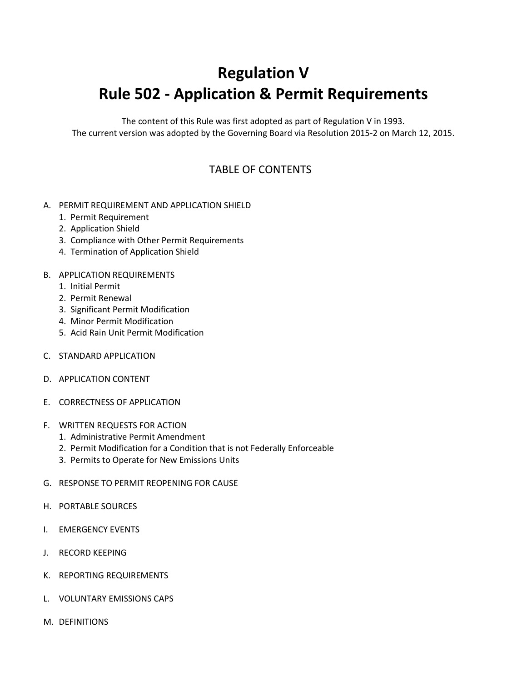# **Regulation V Rule 502 - Application & Permit Requirements**

The content of this Rule was first adopted as part of Regulation V in 1993. The current version was adopted by the Governing Board via Resolution 2015-2 on March 12, 2015.

### TABLE OF CONTENTS

#### A. PERMIT REQUIREMENT AND APPLICATION SHIELD

- 1. Permit Requirement
- 2. Application Shield
- 3. Compliance with Other Permit Requirements
- 4. Termination of Application Shield

#### B. APPLICATION REQUIREMENTS

- 1. Initial Permit
- 2. Permit Renewal
- 3. Significant Permit Modification
- 4. Minor Permit Modification
- 5. Acid Rain Unit Permit Modification
- C. STANDARD APPLICATION
- D. APPLICATION CONTENT
- E. CORRECTNESS OF APPLICATION
- F. WRITTEN REQUESTS FOR ACTION
	- 1. Administrative Permit Amendment
	- 2. Permit Modification for a Condition that is not Federally Enforceable
	- 3. Permits to Operate for New Emissions Units
- G. RESPONSE TO PERMIT REOPENING FOR CAUSE
- H. PORTABLE SOURCES
- I. EMERGENCY EVENTS
- J. RECORD KEEPING
- K. REPORTING REQUIREMENTS
- L. VOLUNTARY EMISSIONS CAPS
- M. DEFINITIONS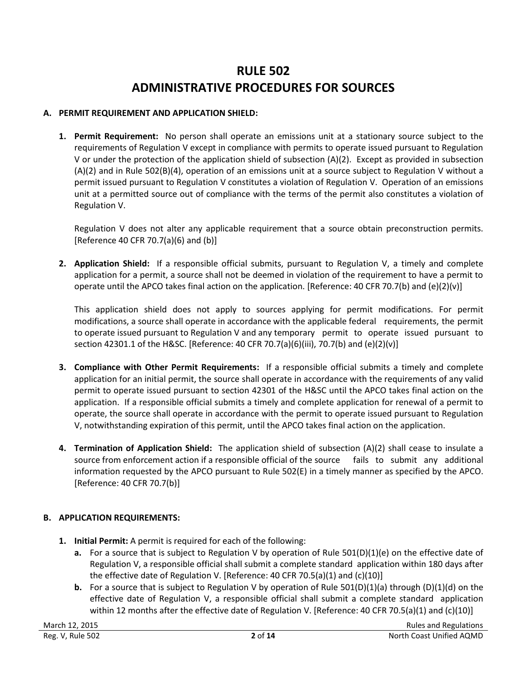## **RULE 502 ADMINISTRATIVE PROCEDURES FOR SOURCES**

#### **A. PERMIT REQUIREMENT AND APPLICATION SHIELD:**

**1. Permit Requirement:** No person shall operate an emissions unit at a stationary source subject to the requirements of Regulation V except in compliance with permits to operate issued pursuant to Regulation V or under the protection of the application shield of subsection (A)(2). Except as provided in subsection (A)(2) and in Rule 502(B)(4), operation of an emissions unit at a source subject to Regulation V without a permit issued pursuant to Regulation V constitutes a violation of Regulation V. Operation of an emissions unit at a permitted source out of compliance with the terms of the permit also constitutes a violation of Regulation V.

Regulation V does not alter any applicable requirement that a source obtain preconstruction permits. [Reference 40 CFR 70.7(a)(6) and (b)]

**2. Application Shield:** If a responsible official submits, pursuant to Regulation V, a timely and complete application for a permit, a source shall not be deemed in violation of the requirement to have a permit to operate until the APCO takes final action on the application. [Reference: 40 CFR 70.7(b) and (e)(2)(v)]

This application shield does not apply to sources applying for permit modifications. For permit modifications, a source shall operate in accordance with the applicable federal requirements, the permit to operate issued pursuant to Regulation V and any temporary permit to operate issued pursuant to section 42301.1 of the H&SC. [Reference: 40 CFR 70.7(a)(6)(iii), 70.7(b) and (e)(2)(v)]

- **3. Compliance with Other Permit Requirements:** If a responsible official submits a timely and complete application for an initial permit, the source shall operate in accordance with the requirements of any valid permit to operate issued pursuant to section 42301 of the H&SC until the APCO takes final action on the application. If a responsible official submits a timely and complete application for renewal of a permit to operate, the source shall operate in accordance with the permit to operate issued pursuant to Regulation V, notwithstanding expiration of this permit, until the APCO takes final action on the application.
- **4. Termination of Application Shield:** The application shield of subsection (A)(2) shall cease to insulate a source from enforcement action if a responsible official of the source fails to submit any additional information requested by the APCO pursuant to Rule 502(E) in a timely manner as specified by the APCO. [Reference: 40 CFR 70.7(b)]

#### **B. APPLICATION REQUIREMENTS:**

- **1. Initial Permit:** A permit is required for each of the following:
	- **a.** For a source that is subject to Regulation V by operation of Rule 501(D)(1)(e) on the effective date of Regulation V, a responsible official shall submit a complete standard application within 180 days after the effective date of Regulation V. [Reference: 40 CFR 70.5(a)(1) and (c)(10)]
	- **b.** For a source that is subject to Regulation V by operation of Rule 501(D)(1)(a) through (D)(1)(d) on the effective date of Regulation V, a responsible official shall submit a complete standard application within 12 months after the effective date of Regulation V. [Reference: 40 CFR 70.5(a)(1) and (c)(10)]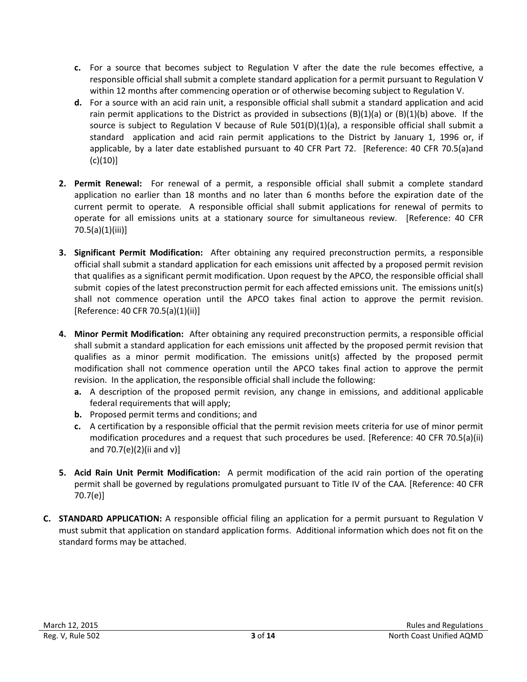- **c.** For a source that becomes subject to Regulation V after the date the rule becomes effective, a responsible official shall submit a complete standard application for a permit pursuant to Regulation V within 12 months after commencing operation or of otherwise becoming subject to Regulation V.
- **d.** For a source with an acid rain unit, a responsible official shall submit a standard application and acid rain permit applications to the District as provided in subsections  $(B)(1)(a)$  or  $(B)(1)(b)$  above. If the source is subject to Regulation V because of Rule  $501(D)(1)(a)$ , a responsible official shall submit a standard application and acid rain permit applications to the District by January 1, 1996 or, if applicable, by a later date established pursuant to 40 CFR Part 72. [Reference: 40 CFR 70.5(a)and  $(c)(10)]$
- **2. Permit Renewal:** For renewal of a permit, a responsible official shall submit a complete standard application no earlier than 18 months and no later than 6 months before the expiration date of the current permit to operate. A responsible official shall submit applications for renewal of permits to operate for all emissions units at a stationary source for simultaneous review. [Reference: 40 CFR 70.5(a)(1)(iii)]
- **3. Significant Permit Modification:** After obtaining any required preconstruction permits, a responsible official shall submit a standard application for each emissions unit affected by a proposed permit revision that qualifies as a significant permit modification. Upon request by the APCO, the responsible official shall submit copies of the latest preconstruction permit for each affected emissions unit. The emissions unit(s) shall not commence operation until the APCO takes final action to approve the permit revision. [Reference: 40 CFR 70.5(a)(1)(ii)]
- **4. Minor Permit Modification:** After obtaining any required preconstruction permits, a responsible official shall submit a standard application for each emissions unit affected by the proposed permit revision that qualifies as a minor permit modification. The emissions unit(s) affected by the proposed permit modification shall not commence operation until the APCO takes final action to approve the permit revision. In the application, the responsible official shall include the following:
	- **a.** A description of the proposed permit revision, any change in emissions, and additional applicable federal requirements that will apply;
	- **b.** Proposed permit terms and conditions; and
	- **c.** A certification by a responsible official that the permit revision meets criteria for use of minor permit modification procedures and a request that such procedures be used. [Reference: 40 CFR 70.5(a)(ii) and 70.7(e)(2)(ii and v)]
- **5. Acid Rain Unit Permit Modification:** A permit modification of the acid rain portion of the operating permit shall be governed by regulations promulgated pursuant to Title IV of the CAA. [Reference: 40 CFR 70.7(e)]
- **C. STANDARD APPLICATION:** A responsible official filing an application for a permit pursuant to Regulation V must submit that application on standard application forms. Additional information which does not fit on the standard forms may be attached.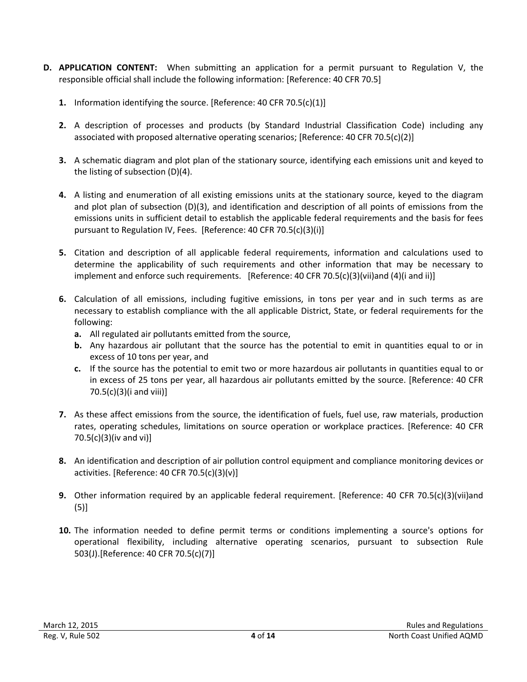- **D. APPLICATION CONTENT:** When submitting an application for a permit pursuant to Regulation V, the responsible official shall include the following information: [Reference: 40 CFR 70.5]
	- **1.** Information identifying the source. [Reference: 40 CFR 70.5(c)(1)]
	- **2.** A description of processes and products (by Standard Industrial Classification Code) including any associated with proposed alternative operating scenarios; [Reference: 40 CFR 70.5(c)(2)]
	- **3.** A schematic diagram and plot plan of the stationary source, identifying each emissions unit and keyed to the listing of subsection (D)(4).
	- **4.** A listing and enumeration of all existing emissions units at the stationary source, keyed to the diagram and plot plan of subsection (D)(3), and identification and description of all points of emissions from the emissions units in sufficient detail to establish the applicable federal requirements and the basis for fees pursuant to Regulation IV, Fees. [Reference: 40 CFR 70.5(c)(3)(i)]
	- **5.** Citation and description of all applicable federal requirements, information and calculations used to determine the applicability of such requirements and other information that may be necessary to implement and enforce such requirements. [Reference: 40 CFR 70.5(c)(3)(vii)and (4)(i and ii)]
	- **6.** Calculation of all emissions, including fugitive emissions, in tons per year and in such terms as are necessary to establish compliance with the all applicable District, State, or federal requirements for the following:
		- **a.** All regulated air pollutants emitted from the source,
		- **b.** Any hazardous air pollutant that the source has the potential to emit in quantities equal to or in excess of 10 tons per year, and
		- **c.** If the source has the potential to emit two or more hazardous air pollutants in quantities equal to or in excess of 25 tons per year, all hazardous air pollutants emitted by the source. [Reference: 40 CFR 70.5(c)(3)(i and viii)]
	- **7.** As these affect emissions from the source, the identification of fuels, fuel use, raw materials, production rates, operating schedules, limitations on source operation or workplace practices. [Reference: 40 CFR 70.5(c)(3)(iv and vi)]
	- **8.** An identification and description of air pollution control equipment and compliance monitoring devices or activities. [Reference: 40 CFR 70.5(c)(3)(v)]
	- **9.** Other information required by an applicable federal requirement. [Reference: 40 CFR 70.5(c)(3)(vii)and (5)]
	- **10.** The information needed to define permit terms or conditions implementing a source's options for operational flexibility, including alternative operating scenarios, pursuant to subsection Rule 503(J).[Reference: 40 CFR 70.5(c)(7)]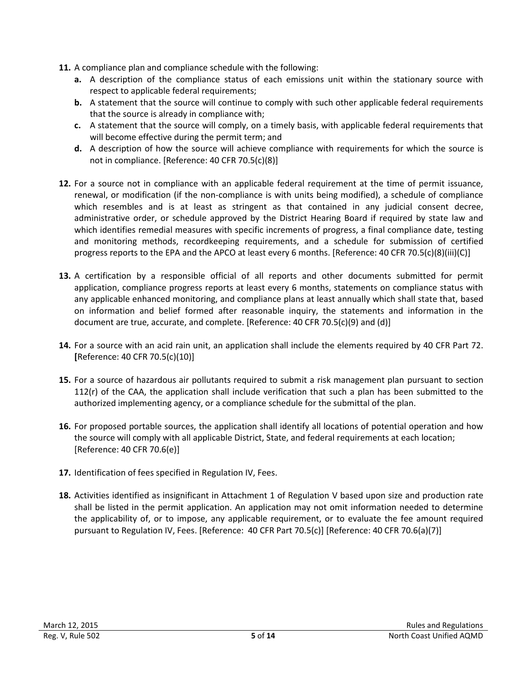- **11.** A compliance plan and compliance schedule with the following:
	- **a.** A description of the compliance status of each emissions unit within the stationary source with respect to applicable federal requirements;
	- **b.** A statement that the source will continue to comply with such other applicable federal requirements that the source is already in compliance with;
	- **c.** A statement that the source will comply, on a timely basis, with applicable federal requirements that will become effective during the permit term; and
	- **d.** A description of how the source will achieve compliance with requirements for which the source is not in compliance. [Reference: 40 CFR 70.5(c)(8)]
- **12.** For a source not in compliance with an applicable federal requirement at the time of permit issuance, renewal, or modification (if the non-compliance is with units being modified), a schedule of compliance which resembles and is at least as stringent as that contained in any judicial consent decree, administrative order, or schedule approved by the District Hearing Board if required by state law and which identifies remedial measures with specific increments of progress, a final compliance date, testing and monitoring methods, recordkeeping requirements, and a schedule for submission of certified progress reports to the EPA and the APCO at least every 6 months. [Reference: 40 CFR 70.5(c)(8)(iii)(C)]
- **13.** A certification by a responsible official of all reports and other documents submitted for permit application, compliance progress reports at least every 6 months, statements on compliance status with any applicable enhanced monitoring, and compliance plans at least annually which shall state that, based on information and belief formed after reasonable inquiry, the statements and information in the document are true, accurate, and complete. [Reference: 40 CFR 70.5(c)(9) and (d)]
- **14.** For a source with an acid rain unit, an application shall include the elements required by 40 CFR Part 72. **[**Reference: 40 CFR 70.5(c)(10)]
- **15.** For a source of hazardous air pollutants required to submit a risk management plan pursuant to section 112(r) of the CAA, the application shall include verification that such a plan has been submitted to the authorized implementing agency, or a compliance schedule for the submittal of the plan.
- **16.** For proposed portable sources, the application shall identify all locations of potential operation and how the source will comply with all applicable District, State, and federal requirements at each location; [Reference: 40 CFR 70.6(e)]
- **17.** Identification of fees specified in Regulation IV, Fees.
- **18.** Activities identified as insignificant in Attachment 1 of Regulation V based upon size and production rate shall be listed in the permit application. An application may not omit information needed to determine the applicability of, or to impose, any applicable requirement, or to evaluate the fee amount required pursuant to Regulation IV, Fees. [Reference: 40 CFR Part 70.5(c)] [Reference: 40 CFR 70.6(a)(7)]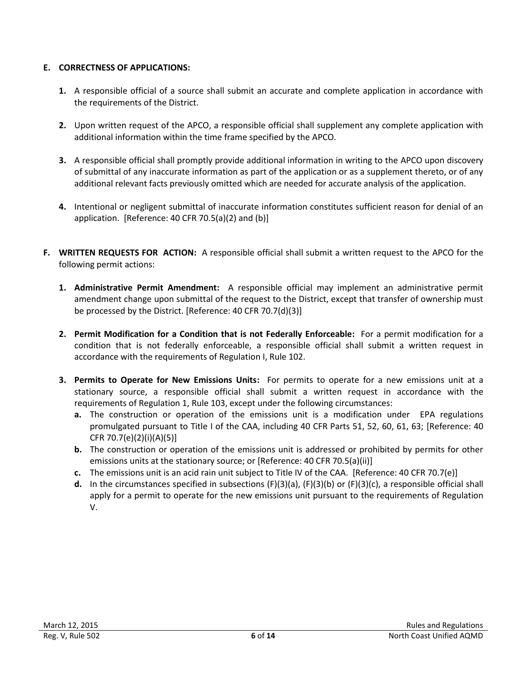#### **E. CORRECTNESS OF APPLICATIONS:**

- **1.** A responsible official of a source shall submit an accurate and complete application in accordance with the requirements of the District.
- **2.** Upon written request of the APCO, a responsible official shall supplement any complete application with additional information within the time frame specified by the APCO.
- **3.** A responsible official shall promptly provide additional information in writing to the APCO upon discovery of submittal of any inaccurate information as part of the application or as a supplement thereto, or of any additional relevant facts previously omitted which are needed for accurate analysis of the application.
- **4.** Intentional or negligent submittal of inaccurate information constitutes sufficient reason for denial of an application. [Reference: 40 CFR 70.5(a)(2) and (b)]
- **F. WRITTEN REQUESTS FOR ACTION:** A responsible official shall submit a written request to the APCO for the following permit actions:
	- **1. Administrative Permit Amendment:** A responsible official may implement an administrative permit amendment change upon submittal of the request to the District, except that transfer of ownership must be processed by the District. [Reference: 40 CFR 70.7(d)(3)]
	- **2. Permit Modification for a Condition that is not Federally Enforceable:** For a permit modification for a condition that is not federally enforceable, a responsible official shall submit a written request in accordance with the requirements of Regulation I, Rule 102.
	- **3. Permits to Operate for New Emissions Units:** For permits to operate for a new emissions unit at a stationary source, a responsible official shall submit a written request in accordance with the requirements of Regulation 1, Rule 103, except under the following circumstances:
		- **a.** The construction or operation of the emissions unit is a modification under EPA regulations promulgated pursuant to Title I of the CAA, including 40 CFR Parts 51, 52, 60, 61, 63; [Reference: 40 CFR 70.7(e)(2)(i)(A)(5)]
		- **b.** The construction or operation of the emissions unit is addressed or prohibited by permits for other emissions units at the stationary source; or [Reference: 40 CFR 70.5(a)(ii)]
		- **c.** The emissions unit is an acid rain unit subject to Title IV of the CAA. [Reference: 40 CFR 70.7(e)]
		- **d.** In the circumstances specified in subsections (F)(3)(a), (F)(3)(b) or (F)(3)(c), a responsible official shall apply for a permit to operate for the new emissions unit pursuant to the requirements of Regulation V.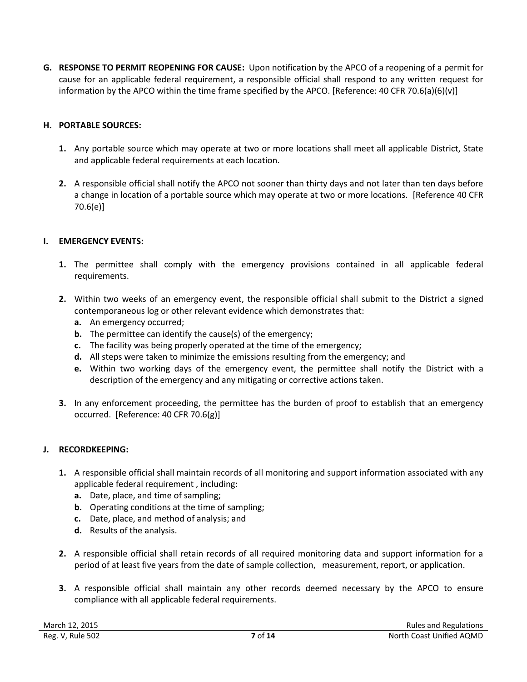**G. RESPONSE TO PERMIT REOPENING FOR CAUSE:** Upon notification by the APCO of a reopening of a permit for cause for an applicable federal requirement, a responsible official shall respond to any written request for information by the APCO within the time frame specified by the APCO. [Reference: 40 CFR 70.6(a)(6)(v)]

#### **H. PORTABLE SOURCES:**

- **1.** Any portable source which may operate at two or more locations shall meet all applicable District, State and applicable federal requirements at each location.
- **2.** A responsible official shall notify the APCO not sooner than thirty days and not later than ten days before a change in location of a portable source which may operate at two or more locations. [Reference 40 CFR 70.6(e)]

#### **I. EMERGENCY EVENTS:**

- **1.** The permittee shall comply with the emergency provisions contained in all applicable federal requirements.
- **2.** Within two weeks of an emergency event, the responsible official shall submit to the District a signed contemporaneous log or other relevant evidence which demonstrates that:
	- **a.** An emergency occurred;
	- **b.** The permittee can identify the cause(s) of the emergency;
	- **c.** The facility was being properly operated at the time of the emergency;
	- **d.** All steps were taken to minimize the emissions resulting from the emergency; and
	- **e.** Within two working days of the emergency event, the permittee shall notify the District with a description of the emergency and any mitigating or corrective actions taken.
- **3.** In any enforcement proceeding, the permittee has the burden of proof to establish that an emergency occurred. [Reference: 40 CFR 70.6(g)]

#### **J. RECORDKEEPING:**

- **1.** A responsible official shall maintain records of all monitoring and support information associated with any applicable federal requirement , including:
	- **a.** Date, place, and time of sampling;
	- **b.** Operating conditions at the time of sampling;
	- **c.** Date, place, and method of analysis; and
	- **d.** Results of the analysis.
- **2.** A responsible official shall retain records of all required monitoring data and support information for a period of at least five years from the date of sample collection, measurement, report, or application.
- **3.** A responsible official shall maintain any other records deemed necessary by the APCO to ensure compliance with all applicable federal requirements.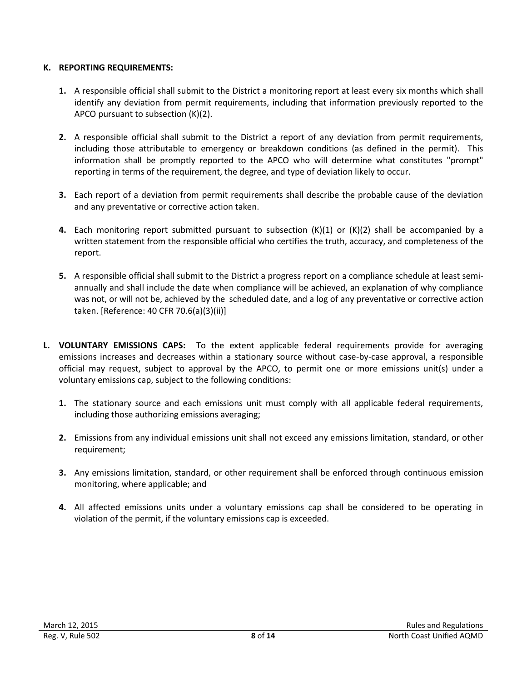#### **K. REPORTING REQUIREMENTS:**

- **1.** A responsible official shall submit to the District a monitoring report at least every six months which shall identify any deviation from permit requirements, including that information previously reported to the APCO pursuant to subsection (K)(2).
- **2.** A responsible official shall submit to the District a report of any deviation from permit requirements, including those attributable to emergency or breakdown conditions (as defined in the permit). This information shall be promptly reported to the APCO who will determine what constitutes "prompt" reporting in terms of the requirement, the degree, and type of deviation likely to occur.
- **3.** Each report of a deviation from permit requirements shall describe the probable cause of the deviation and any preventative or corrective action taken.
- **4.** Each monitoring report submitted pursuant to subsection (K)(1) or (K)(2) shall be accompanied by a written statement from the responsible official who certifies the truth, accuracy, and completeness of the report.
- **5.** A responsible official shall submit to the District a progress report on a compliance schedule at least semiannually and shall include the date when compliance will be achieved, an explanation of why compliance was not, or will not be, achieved by the scheduled date, and a log of any preventative or corrective action taken. [Reference: 40 CFR 70.6(a)(3)(ii)]
- **L. VOLUNTARY EMISSIONS CAPS:** To the extent applicable federal requirements provide for averaging emissions increases and decreases within a stationary source without case-by-case approval, a responsible official may request, subject to approval by the APCO, to permit one or more emissions unit(s) under a voluntary emissions cap, subject to the following conditions:
	- **1.** The stationary source and each emissions unit must comply with all applicable federal requirements, including those authorizing emissions averaging;
	- **2.** Emissions from any individual emissions unit shall not exceed any emissions limitation, standard, or other requirement;
	- **3.** Any emissions limitation, standard, or other requirement shall be enforced through continuous emission monitoring, where applicable; and
	- **4.** All affected emissions units under a voluntary emissions cap shall be considered to be operating in violation of the permit, if the voluntary emissions cap is exceeded.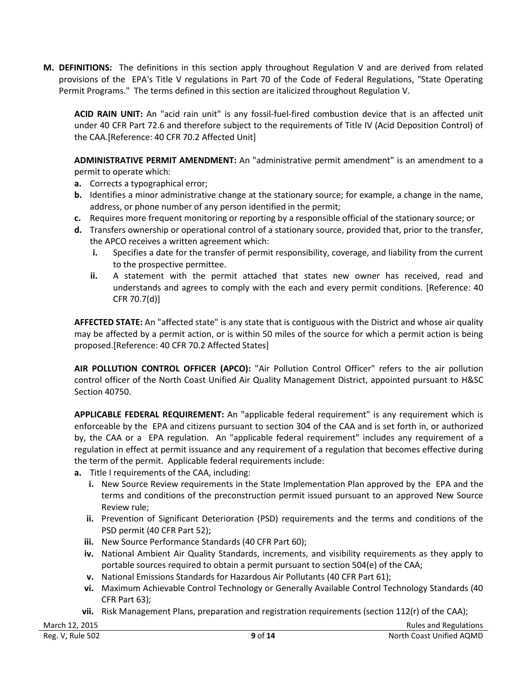**M. DEFINITIONS:** The definitions in this section apply throughout Regulation V and are derived from related provisions of the EPA's Title V regulations in Part 70 of the Code of Federal Regulations, "State Operating Permit Programs." The terms defined in this section are italicized throughout Regulation V.

**ACID RAIN UNIT:** An "acid rain unit" is any fossil-fuel-fired combustion device that is an affected unit under 40 CFR Part 72.6 and therefore subject to the requirements of Title IV (Acid Deposition Control) of the CAA.[Reference: 40 CFR 70.2 Affected Unit]

**ADMINISTRATIVE PERMIT AMENDMENT:** An "administrative permit amendment" is an amendment to a permit to operate which:

- **a.** Corrects a typographical error;
- **b.** Identifies a minor administrative change at the stationary source; for example, a change in the name, address, or phone number of any person identified in the permit;
- **c.** Requires more frequent monitoring or reporting by a responsible official of the stationary source; or
- **d.** Transfers ownership or operational control of a stationary source, provided that, prior to the transfer, the APCO receives a written agreement which:
	- **i.** Specifies a date for the transfer of permit responsibility, coverage, and liability from the current to the prospective permittee.
	- **ii.** A statement with the permit attached that states new owner has received, read and understands and agrees to comply with the each and every permit conditions. [Reference: 40 CFR 70.7(d)]

**AFFECTED STATE:** An "affected state" is any state that is contiguous with the District and whose air quality may be affected by a permit action, or is within 50 miles of the source for which a permit action is being proposed.[Reference: 40 CFR 70.2 Affected States]

**AIR POLLUTION CONTROL OFFICER (APCO):** "Air Pollution Control Officer" refers to the air pollution control officer of the North Coast Unified Air Quality Management District, appointed pursuant to H&SC Section 40750.

**APPLICABLE FEDERAL REQUIREMENT:** An "applicable federal requirement" is any requirement which is enforceable by the EPA and citizens pursuant to section 304 of the CAA and is set forth in, or authorized by, the CAA or a EPA regulation. An "applicable federal requirement" includes any requirement of a regulation in effect at permit issuance and any requirement of a regulation that becomes effective during the term of the permit. Applicable federal requirements include:

- **a.** Title I requirements of the CAA, including:
	- **i.** New Source Review requirements in the State Implementation Plan approved by the EPA and the terms and conditions of the preconstruction permit issued pursuant to an approved New Source Review rule;
	- **ii.** Prevention of Significant Deterioration (PSD) requirements and the terms and conditions of the PSD permit (40 CFR Part 52);
	- **iii.** New Source Performance Standards (40 CFR Part 60);
	- **iv.** National Ambient Air Quality Standards, increments, and visibility requirements as they apply to portable sources required to obtain a permit pursuant to section 504(e) of the CAA;
	- **v.** National Emissions Standards for Hazardous Air Pollutants (40 CFR Part 61);
	- **vi.** Maximum Achievable Control Technology or Generally Available Control Technology Standards (40 CFR Part 63);
	- **vii.** Risk Management Plans, preparation and registration requirements (section 112(r) of the CAA);

March 12, 2015 **Rules and Regulations Rules and Regulations Rules and Regulations**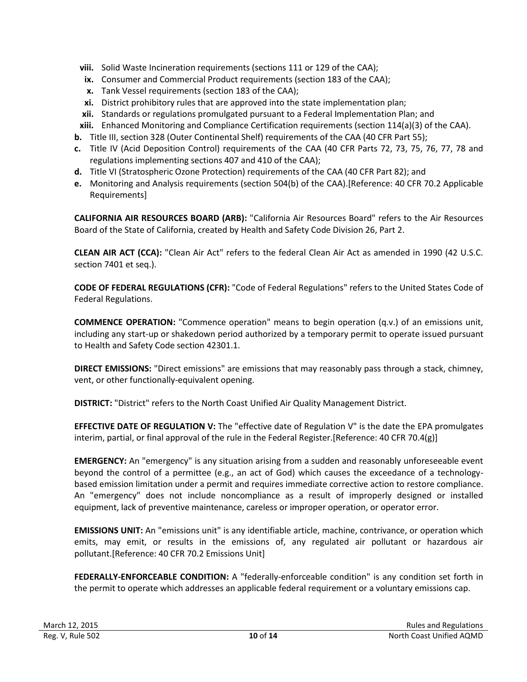- **viii.** Solid Waste Incineration requirements (sections 111 or 129 of the CAA);
- **ix.** Consumer and Commercial Product requirements (section 183 of the CAA);
- **x.** Tank Vessel requirements (section 183 of the CAA);
- **xi.** District prohibitory rules that are approved into the state implementation plan;
- **xii.** Standards or regulations promulgated pursuant to a Federal Implementation Plan; and
- **xiii.** Enhanced Monitoring and Compliance Certification requirements (section 114(a)(3) of the CAA).
- **b.** Title III, section 328 (Outer Continental Shelf) requirements of the CAA (40 CFR Part 55);
- **c.** Title IV (Acid Deposition Control) requirements of the CAA (40 CFR Parts 72, 73, 75, 76, 77, 78 and regulations implementing sections 407 and 410 of the CAA);
- **d.** Title VI (Stratospheric Ozone Protection) requirements of the CAA (40 CFR Part 82); and
- **e.** Monitoring and Analysis requirements (section 504(b) of the CAA).[Reference: 40 CFR 70.2 Applicable Requirements]

**CALIFORNIA AIR RESOURCES BOARD (ARB):** "California Air Resources Board" refers to the Air Resources Board of the State of California, created by Health and Safety Code Division 26, Part 2.

**CLEAN AIR ACT (CCA):** "Clean Air Act" refers to the federal Clean Air Act as amended in 1990 (42 U.S.C. section 7401 et seq.).

**CODE OF FEDERAL REGULATIONS (CFR):** "Code of Federal Regulations" refers to the United States Code of Federal Regulations.

**COMMENCE OPERATION:** "Commence operation" means to begin operation (q.v.) of an emissions unit, including any start-up or shakedown period authorized by a temporary permit to operate issued pursuant to Health and Safety Code section 42301.1.

**DIRECT EMISSIONS:** "Direct emissions" are emissions that may reasonably pass through a stack, chimney, vent, or other functionally-equivalent opening.

**DISTRICT:** "District" refers to the North Coast Unified Air Quality Management District.

**EFFECTIVE DATE OF REGULATION V:** The "effective date of Regulation V" is the date the EPA promulgates interim, partial, or final approval of the rule in the Federal Register.[Reference: 40 CFR 70.4(g)]

**EMERGENCY:** An "emergency" is any situation arising from a sudden and reasonably unforeseeable event beyond the control of a permittee (e.g., an act of God) which causes the exceedance of a technologybased emission limitation under a permit and requires immediate corrective action to restore compliance. An "emergency" does not include noncompliance as a result of improperly designed or installed equipment, lack of preventive maintenance, careless or improper operation, or operator error.

**EMISSIONS UNIT:** An "emissions unit" is any identifiable article, machine, contrivance, or operation which emits, may emit, or results in the emissions of, any regulated air pollutant or hazardous air pollutant.[Reference: 40 CFR 70.2 Emissions Unit]

**FEDERALLY-ENFORCEABLE CONDITION:** A "federally-enforceable condition" is any condition set forth in the permit to operate which addresses an applicable federal requirement or a voluntary emissions cap.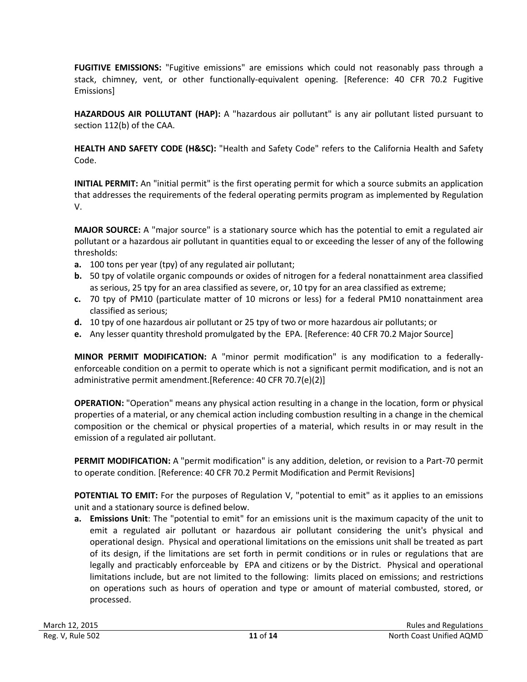**FUGITIVE EMISSIONS:** "Fugitive emissions" are emissions which could not reasonably pass through a stack, chimney, vent, or other functionally-equivalent opening. [Reference: 40 CFR 70.2 Fugitive Emissions]

**HAZARDOUS AIR POLLUTANT (HAP):** A "hazardous air pollutant" is any air pollutant listed pursuant to section 112(b) of the CAA.

**HEALTH AND SAFETY CODE (H&SC):** "Health and Safety Code" refers to the California Health and Safety Code.

**INITIAL PERMIT:** An "initial permit" is the first operating permit for which a source submits an application that addresses the requirements of the federal operating permits program as implemented by Regulation V.

**MAJOR SOURCE:** A "major source" is a stationary source which has the potential to emit a regulated air pollutant or a hazardous air pollutant in quantities equal to or exceeding the lesser of any of the following thresholds:

- **a.** 100 tons per year (tpy) of any regulated air pollutant;
- **b.** 50 tpy of volatile organic compounds or oxides of nitrogen for a federal nonattainment area classified as serious, 25 tpy for an area classified as severe, or, 10 tpy for an area classified as extreme;
- **c.** 70 tpy of PM10 (particulate matter of 10 microns or less) for a federal PM10 nonattainment area classified as serious;
- **d.** 10 tpy of one hazardous air pollutant or 25 tpy of two or more hazardous air pollutants; or
- **e.** Any lesser quantity threshold promulgated by the EPA. [Reference: 40 CFR 70.2 Major Source]

**MINOR PERMIT MODIFICATION:** A "minor permit modification" is any modification to a federallyenforceable condition on a permit to operate which is not a significant permit modification, and is not an administrative permit amendment.[Reference: 40 CFR 70.7(e)(2)]

**OPERATION:** "Operation" means any physical action resulting in a change in the location, form or physical properties of a material, or any chemical action including combustion resulting in a change in the chemical composition or the chemical or physical properties of a material, which results in or may result in the emission of a regulated air pollutant.

**PERMIT MODIFICATION:** A "permit modification" is any addition, deletion, or revision to a Part-70 permit to operate condition. [Reference: 40 CFR 70.2 Permit Modification and Permit Revisions]

**POTENTIAL TO EMIT:** For the purposes of Regulation V, "potential to emit" as it applies to an emissions unit and a stationary source is defined below.

**a. Emissions Unit**: The "potential to emit" for an emissions unit is the maximum capacity of the unit to emit a regulated air pollutant or hazardous air pollutant considering the unit's physical and operational design. Physical and operational limitations on the emissions unit shall be treated as part of its design, if the limitations are set forth in permit conditions or in rules or regulations that are legally and practicably enforceable by EPA and citizens or by the District. Physical and operational limitations include, but are not limited to the following: limits placed on emissions; and restrictions on operations such as hours of operation and type or amount of material combusted, stored, or processed.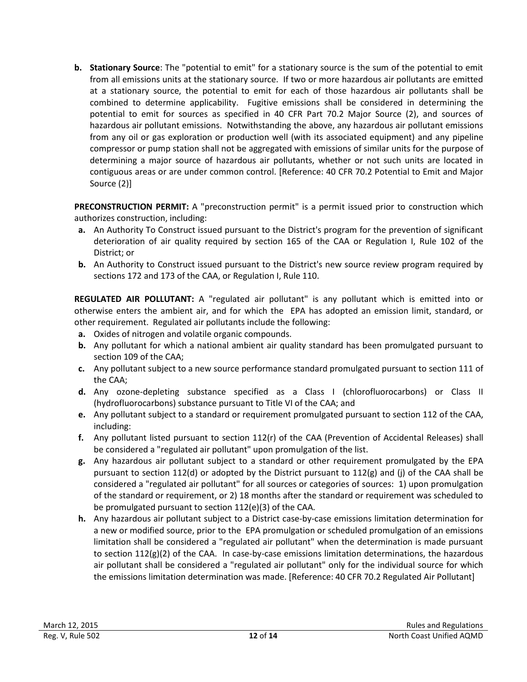**b. Stationary Source**: The "potential to emit" for a stationary source is the sum of the potential to emit from all emissions units at the stationary source. If two or more hazardous air pollutants are emitted at a stationary source, the potential to emit for each of those hazardous air pollutants shall be combined to determine applicability. Fugitive emissions shall be considered in determining the potential to emit for sources as specified in 40 CFR Part 70.2 Major Source (2), and sources of hazardous air pollutant emissions. Notwithstanding the above, any hazardous air pollutant emissions from any oil or gas exploration or production well (with its associated equipment) and any pipeline compressor or pump station shall not be aggregated with emissions of similar units for the purpose of determining a major source of hazardous air pollutants, whether or not such units are located in contiguous areas or are under common control. [Reference: 40 CFR 70.2 Potential to Emit and Major Source (2)]

**PRECONSTRUCTION PERMIT:** A "preconstruction permit" is a permit issued prior to construction which authorizes construction, including:

- **a.** An Authority To Construct issued pursuant to the District's program for the prevention of significant deterioration of air quality required by section 165 of the CAA or Regulation I, Rule 102 of the District; or
- **b.** An Authority to Construct issued pursuant to the District's new source review program required by sections 172 and 173 of the CAA, or Regulation I, Rule 110.

**REGULATED AIR POLLUTANT:** A "regulated air pollutant" is any pollutant which is emitted into or otherwise enters the ambient air, and for which the EPA has adopted an emission limit, standard, or other requirement. Regulated air pollutants include the following:

- **a.** Oxides of nitrogen and volatile organic compounds.
- **b.** Any pollutant for which a national ambient air quality standard has been promulgated pursuant to section 109 of the CAA;
- **c.** Any pollutant subject to a new source performance standard promulgated pursuant to section 111 of the CAA;
- **d.** Any ozone-depleting substance specified as a Class I (chlorofluorocarbons) or Class II (hydrofluorocarbons) substance pursuant to Title VI of the CAA; and
- **e.** Any pollutant subject to a standard or requirement promulgated pursuant to section 112 of the CAA, including:
- **f.** Any pollutant listed pursuant to section 112(r) of the CAA (Prevention of Accidental Releases) shall be considered a "regulated air pollutant" upon promulgation of the list.
- **g.** Any hazardous air pollutant subject to a standard or other requirement promulgated by the EPA pursuant to section 112(d) or adopted by the District pursuant to 112(g) and (j) of the CAA shall be considered a "regulated air pollutant" for all sources or categories of sources: 1) upon promulgation of the standard or requirement, or 2) 18 months after the standard or requirement was scheduled to be promulgated pursuant to section 112(e)(3) of the CAA.
- **h.** Any hazardous air pollutant subject to a District case-by-case emissions limitation determination for a new or modified source, prior to the EPA promulgation or scheduled promulgation of an emissions limitation shall be considered a "regulated air pollutant" when the determination is made pursuant to section 112(g)(2) of the CAA. In case-by-case emissions limitation determinations, the hazardous air pollutant shall be considered a "regulated air pollutant" only for the individual source for which the emissions limitation determination was made. [Reference: 40 CFR 70.2 Regulated Air Pollutant]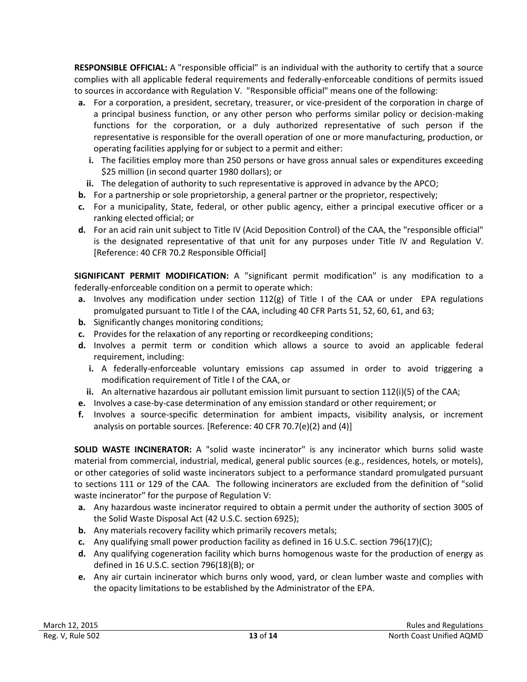**RESPONSIBLE OFFICIAL:** A "responsible official" is an individual with the authority to certify that a source complies with all applicable federal requirements and federally-enforceable conditions of permits issued to sources in accordance with Regulation V. "Responsible official" means one of the following:

- **a.** For a corporation, a president, secretary, treasurer, or vice-president of the corporation in charge of a principal business function, or any other person who performs similar policy or decision-making functions for the corporation, or a duly authorized representative of such person if the representative is responsible for the overall operation of one or more manufacturing, production, or operating facilities applying for or subject to a permit and either:
	- **i.** The facilities employ more than 250 persons or have gross annual sales or expenditures exceeding \$25 million (in second quarter 1980 dollars); or
- **ii.** The delegation of authority to such representative is approved in advance by the APCO;
- **b.** For a partnership or sole proprietorship, a general partner or the proprietor, respectively;
- **c.** For a municipality, State, federal, or other public agency, either a principal executive officer or a ranking elected official; or
- **d.** For an acid rain unit subject to Title IV (Acid Deposition Control) of the CAA, the "responsible official" is the designated representative of that unit for any purposes under Title IV and Regulation V. [Reference: 40 CFR 70.2 Responsible Official]

**SIGNIFICANT PERMIT MODIFICATION:** A "significant permit modification" is any modification to a federally-enforceable condition on a permit to operate which:

- **a.** Involves any modification under section  $112(g)$  of Title I of the CAA or under EPA regulations promulgated pursuant to Title I of the CAA, including 40 CFR Parts 51, 52, 60, 61, and 63;
- **b.** Significantly changes monitoring conditions;
- **c.** Provides for the relaxation of any reporting or recordkeeping conditions;
- **d.** Involves a permit term or condition which allows a source to avoid an applicable federal requirement, including:
	- **i.** A federally-enforceable voluntary emissions cap assumed in order to avoid triggering a modification requirement of Title I of the CAA, or
	- **ii.** An alternative hazardous air pollutant emission limit pursuant to section 112(i)(5) of the CAA;
- **e.** Involves a case-by-case determination of any emission standard or other requirement; or
- **f.** Involves a source-specific determination for ambient impacts, visibility analysis, or increment analysis on portable sources. [Reference: 40 CFR 70.7(e)(2) and (4)]

**SOLID WASTE INCINERATOR:** A "solid waste incinerator" is any incinerator which burns solid waste material from commercial, industrial, medical, general public sources (e.g., residences, hotels, or motels), or other categories of solid waste incinerators subject to a performance standard promulgated pursuant to sections 111 or 129 of the CAA. The following incinerators are excluded from the definition of "solid waste incinerator" for the purpose of Regulation V:

- **a.** Any hazardous waste incinerator required to obtain a permit under the authority of section 3005 of the Solid Waste Disposal Act (42 U.S.C. section 6925);
- **b.** Any materials recovery facility which primarily recovers metals;
- **c.** Any qualifying small power production facility as defined in 16 U.S.C. section 796(17)(C);
- **d.** Any qualifying cogeneration facility which burns homogenous waste for the production of energy as defined in 16 U.S.C. section 796(18)(B); or
- **e.** Any air curtain incinerator which burns only wood, yard, or clean lumber waste and complies with the opacity limitations to be established by the Administrator of the EPA.